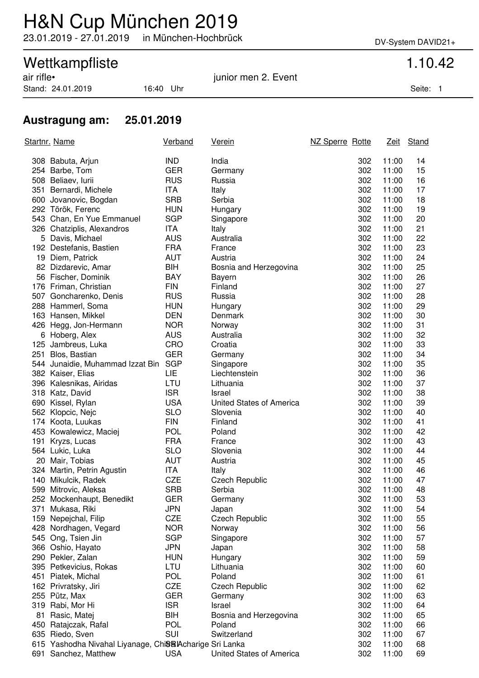## H&N Cup München 2019

23.01.2019 - 27.01.2019 in München-Hochbrück DV-System DAVID21+

## Wettkampfliste 1.10.42

Stand: 24.01.2019 16:40 Uhr Seite: 1

air rifle• junior men 2. Event

### **Austragung am: 25.01.2019**

|     | <u>Startnr. Name</u>                                     | <b>Verband</b> | <u>Verein</u>            | NZ Sperre Rotte |     | <u>Zeit</u> | Stand |
|-----|----------------------------------------------------------|----------------|--------------------------|-----------------|-----|-------------|-------|
|     | 308 Babuta, Arjun                                        | <b>IND</b>     | India                    |                 | 302 | 11:00       | 14    |
|     | 254 Barbe, Tom                                           | <b>GER</b>     | Germany                  |                 | 302 | 11:00       | 15    |
|     | 508 Beliaev, lurii                                       | <b>RUS</b>     | Russia                   |                 | 302 | 11:00       | 16    |
|     | 351 Bernardi, Michele                                    | <b>ITA</b>     | Italy                    |                 | 302 | 11:00       | 17    |
|     | 600 Jovanovic, Bogdan                                    | <b>SRB</b>     | Serbia                   |                 | 302 | 11:00       | 18    |
|     | 292 Török, Ferenc                                        | <b>HUN</b>     | Hungary                  |                 | 302 | 11:00       | 19    |
|     | 543 Chan, En Yue Emmanuel                                | <b>SGP</b>     | Singapore                |                 | 302 | 11:00       | 20    |
|     | 326 Chatziplis, Alexandros                               | <b>ITA</b>     | Italy                    |                 | 302 | 11:00       | 21    |
|     | 5 Davis, Michael                                         | <b>AUS</b>     | Australia                |                 | 302 | 11:00       | 22    |
|     | 192 Destefanis, Bastien                                  | <b>FRA</b>     | France                   |                 | 302 | 11:00       | 23    |
|     | 19 Diem, Patrick                                         | <b>AUT</b>     | Austria                  |                 | 302 | 11:00       | 24    |
|     | 82 Dizdarevic, Amar                                      | BIH            | Bosnia and Herzegovina   |                 | 302 | 11:00       | 25    |
|     | 56 Fischer, Dominik                                      | <b>BAY</b>     | Bayern                   |                 | 302 | 11:00       | 26    |
|     | 176 Friman, Christian                                    | <b>FIN</b>     | Finland                  |                 | 302 | 11:00       | 27    |
|     | 507 Goncharenko, Denis                                   | <b>RUS</b>     | Russia                   |                 | 302 | 11:00       | 28    |
|     | 288 Hammerl, Soma                                        | <b>HUN</b>     | Hungary                  |                 | 302 | 11:00       | 29    |
|     | 163 Hansen, Mikkel                                       | <b>DEN</b>     | Denmark                  |                 | 302 | 11:00       | 30    |
|     | 426 Hegg, Jon-Hermann                                    | <b>NOR</b>     | Norway                   |                 | 302 | 11:00       | 31    |
|     | 6 Hoberg, Alex                                           | <b>AUS</b>     | Australia                |                 | 302 | 11:00       | 32    |
|     | 125 Jambreus, Luka                                       | CRO            | Croatia                  |                 | 302 | 11:00       | 33    |
|     | 251 Blos, Bastian                                        | <b>GER</b>     | Germany                  |                 | 302 | 11:00       | 34    |
|     | 544 Junaidie, Muhammad Izzat Bin                         | <b>SGP</b>     | Singapore                |                 | 302 | 11:00       | 35    |
|     | 382 Kaiser, Elias                                        | LIE            | Liechtenstein            |                 | 302 | 11:00       | 36    |
|     | 396 Kalesnikas, Airidas                                  | LTU            | Lithuania                |                 | 302 | 11:00       | 37    |
|     | 318 Katz, David                                          | <b>ISR</b>     | Israel                   |                 | 302 | 11:00       | 38    |
|     | 690 Kissel, Rylan                                        | <b>USA</b>     | United States of America |                 | 302 | 11:00       | 39    |
|     | 562 Klopcic, Nejc                                        | <b>SLO</b>     | Slovenia                 |                 | 302 | 11:00       | 40    |
|     | 174 Koota, Luukas                                        | <b>FIN</b>     | Finland                  |                 | 302 | 11:00       | 41    |
|     | 453 Kowalewicz, Maciej                                   | <b>POL</b>     | Poland                   |                 | 302 | 11:00       | 42    |
|     | 191 Kryzs, Lucas                                         | <b>FRA</b>     | France                   |                 | 302 | 11:00       | 43    |
|     | 564 Lukic, Luka                                          | <b>SLO</b>     | Slovenia                 |                 | 302 | 11:00       | 44    |
|     | 20 Mair, Tobias                                          | <b>AUT</b>     | Austria                  |                 | 302 | 11:00       | 45    |
|     | 324 Martin, Petrin Agustin                               | <b>ITA</b>     | Italy                    |                 | 302 | 11:00       | 46    |
|     | 140 Mikulcik, Radek                                      | <b>CZE</b>     | <b>Czech Republic</b>    |                 | 302 | 11:00       | 47    |
|     | 599 Mitrovic, Aleksa                                     | <b>SRB</b>     | Serbia                   |                 | 302 | 11:00       | 48    |
|     | 252 Mockenhaupt, Benedikt                                | GER            | Germany                  |                 | 302 | 11:00       | 53    |
| 371 | Mukasa, Riki                                             | <b>JPN</b>     | Japan                    |                 | 302 | 11:00       | 54    |
|     | 159 Nepejchal, Filip                                     | <b>CZE</b>     | <b>Czech Republic</b>    |                 | 302 | 11:00       | 55    |
|     | 428 Nordhagen, Vegard                                    | <b>NOR</b>     | Norway                   |                 | 302 | 11:00       | 56    |
|     | 545 Ong, Tsien Jin                                       | <b>SGP</b>     | Singapore                |                 | 302 | 11:00       | 57    |
|     | 366 Oshio, Hayato                                        | <b>JPN</b>     | Japan                    |                 | 302 | 11:00       | 58    |
|     | 290 Pekler, Zalan                                        | <b>HUN</b>     | Hungary                  |                 | 302 | 11:00       | 59    |
|     | 395 Petkevicius, Rokas                                   | LTU            | Lithuania                |                 | 302 | 11:00       | 60    |
|     | 451 Piatek, Michal                                       | <b>POL</b>     | Poland                   |                 | 302 | 11:00       | 61    |
|     | 162 Privratsky, Jiri                                     | <b>CZE</b>     | <b>Czech Republic</b>    |                 | 302 | 11:00       | 62    |
|     | 255 Pütz, Max                                            | <b>GER</b>     | Germany                  |                 | 302 | 11:00       | 63    |
|     | 319 Rabi, Mor Hi                                         | <b>ISR</b>     | Israel                   |                 | 302 | 11:00       | 64    |
| 81  | Rasic, Matej                                             | BIH            | Bosnia and Herzegovina   |                 | 302 | 11:00       | 65    |
|     | 450 Ratajczak, Rafal                                     | <b>POL</b>     | Poland                   |                 | 302 | 11:00       | 66    |
|     | 635 Riedo, Sven                                          | SUI            | Switzerland              |                 | 302 | 11:00       | 67    |
|     | 615 Yashodha Nivahal Liyanage, ChiStalAcharige Sri Lanka |                |                          |                 | 302 | 11:00       | 68    |
|     | 691 Sanchez, Matthew                                     | <b>USA</b>     | United States of America |                 | 302 | 11:00       | 69    |